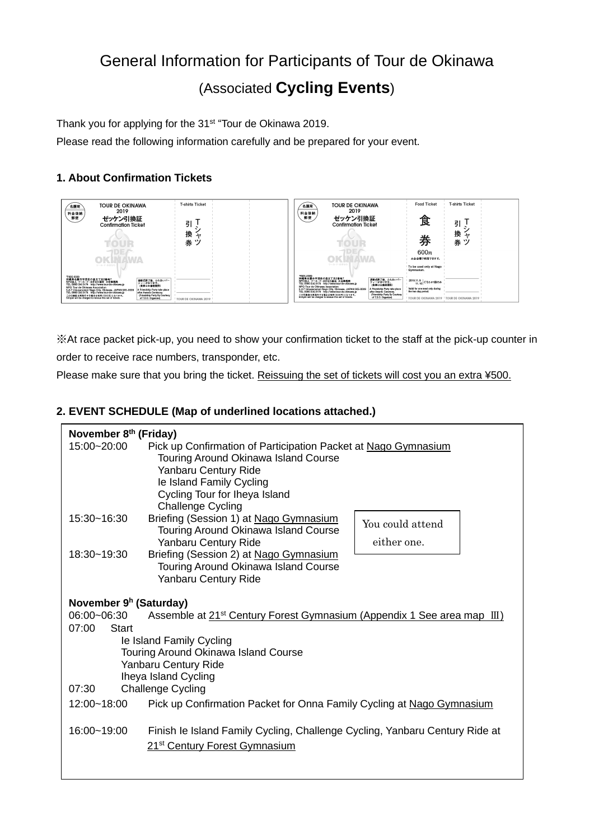# General Information for Participants of Tour de Okinawa (Associated **Cycling Events**)

Thank you for applying for the 31<sup>st</sup> "Tour de Okinawa 2019.

Please read the following information carefully and be prepared for your event.

## **1. About Confirmation Tickets**



※At race packet pick-up, you need to show your confirmation ticket to the staff at the pick-up counter in order to receive race numbers, transponder, etc.

Please make sure that you bring the ticket. Reissuing the set of tickets will cost you an extra ¥500.

## **2. EVENT SCHEDULE (Map of underlined locations attached.)**

| November 8 <sup>th</sup> (Friday)                                                                  |                                                                                                                                                                                                                         |                                 |  |
|----------------------------------------------------------------------------------------------------|-------------------------------------------------------------------------------------------------------------------------------------------------------------------------------------------------------------------------|---------------------------------|--|
| 15:00~20:00                                                                                        | Pick up Confirmation of Participation Packet at Nago Gymnasium<br>Touring Around Okinawa Island Course<br>Yanbaru Century Ride<br>le Island Family Cycling<br>Cycling Tour for Iheya Island<br><b>Challenge Cycling</b> |                                 |  |
| 15:30~16:30                                                                                        | Briefing (Session 1) at Nago Gymnasium<br>Touring Around Okinawa Island Course<br>Yanbaru Century Ride                                                                                                                  | You could attend<br>either one. |  |
| 18:30~19:30                                                                                        | Briefing (Session 2) at Nago Gymnasium<br>Touring Around Okinawa Island Course<br>Yanbaru Century Ride                                                                                                                  |                                 |  |
| November 9 <sup>h</sup> (Saturday)                                                                 |                                                                                                                                                                                                                         |                                 |  |
| Assemble at 21 <sup>st</sup> Century Forest Gymnasium (Appendix 1 See area map III)<br>06:00~06:30 |                                                                                                                                                                                                                         |                                 |  |
| 07:00<br>Start                                                                                     |                                                                                                                                                                                                                         |                                 |  |
| le Island Family Cycling<br>Touring Around Okinawa Island Course                                   |                                                                                                                                                                                                                         |                                 |  |
| Yanbaru Century Ride                                                                               |                                                                                                                                                                                                                         |                                 |  |
| Iheya Island Cycling                                                                               |                                                                                                                                                                                                                         |                                 |  |
| 07:30<br><b>Challenge Cycling</b>                                                                  |                                                                                                                                                                                                                         |                                 |  |
| 12:00~18:00                                                                                        | Pick up Confirmation Packet for Onna Family Cycling at Nago Gymnasium                                                                                                                                                   |                                 |  |
| 16:00~19:00                                                                                        | Finish le Island Family Cycling, Challenge Cycling, Yanbaru Century Ride at<br>21 <sup>st</sup> Century Forest Gymnasium                                                                                                |                                 |  |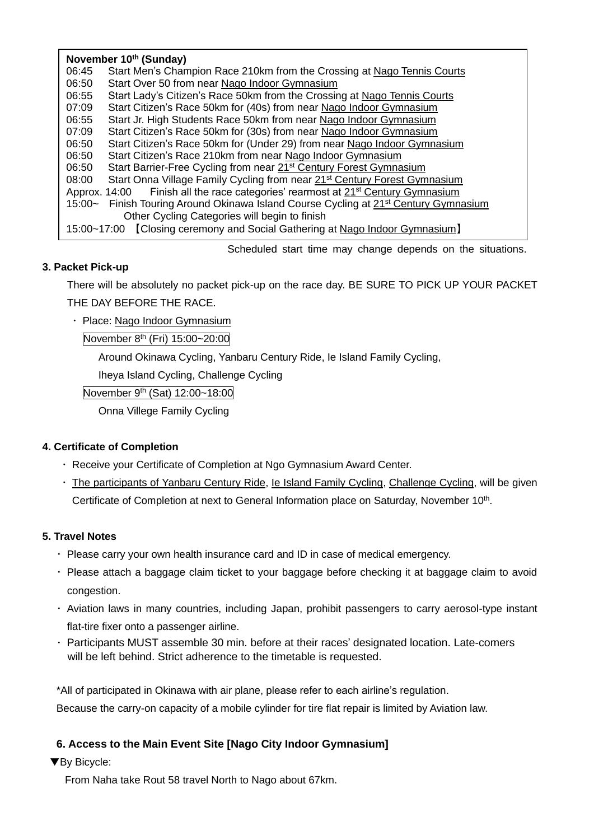| November 10th (Sunday)                                                                                |                                                                                       |  |
|-------------------------------------------------------------------------------------------------------|---------------------------------------------------------------------------------------|--|
| 06:45                                                                                                 | Start Men's Champion Race 210km from the Crossing at Nago Tennis Courts               |  |
| 06:50                                                                                                 | Start Over 50 from near Nago Indoor Gymnasium                                         |  |
| 06:55                                                                                                 | Start Lady's Citizen's Race 50km from the Crossing at Nago Tennis Courts              |  |
| 07:09                                                                                                 | Start Citizen's Race 50km for (40s) from near Nago Indoor Gymnasium                   |  |
| 06:55                                                                                                 | Start Jr. High Students Race 50km from near Nago Indoor Gymnasium                     |  |
| 07:09                                                                                                 | Start Citizen's Race 50km for (30s) from near Nago Indoor Gymnasium                   |  |
| 06:50                                                                                                 | Start Citizen's Race 50km for (Under 29) from near Nago Indoor Gymnasium              |  |
| 06:50                                                                                                 | Start Citizen's Race 210km from near Nago Indoor Gymnasium                            |  |
| 06:50                                                                                                 | Start Barrier-Free Cycling from near 21 <sup>st</sup> Century Forest Gymnasium        |  |
| 08:00                                                                                                 | Start Onna Village Family Cycling from near 21 <sup>st</sup> Century Forest Gymnasium |  |
| Finish all the race categories' rearmost at 21 <sup>st</sup> Century Gymnasium<br>Approx. 14:00       |                                                                                       |  |
| Finish Touring Around Okinawa Island Course Cycling at 21 <sup>st</sup> Century Gymnasium<br>$15:00-$ |                                                                                       |  |
| Other Cycling Categories will begin to finish                                                         |                                                                                       |  |
| 15:00~17:00 [Closing ceremony and Social Gathering at Nago Indoor Gymnasium]                          |                                                                                       |  |

Scheduled start time may change depends on the situations.

## **3. Packet Pick-up**

There will be absolutely no packet pick-up on the race day. BE SURE TO PICK UP YOUR PACKET THE DAY BEFORE THE RACE.

・ Place: Nago Indoor Gymnasium

November 8<sup>th</sup> (Fri) 15:00~20:00

Around Okinawa Cycling, Yanbaru Century Ride, Ie Island Family Cycling,

Iheya Island Cycling, Challenge Cycling

November 9<sup>th</sup> (Sat) 12:00~18:00

Onna Villege Family Cycling

## **4. Certificate of Completion**

- ・ Receive your Certificate of Completion at Ngo Gymnasium Award Center.
- ・ The participants of Yanbaru Century Ride, Ie Island Family Cycling, Challenge Cycling, will be given Certificate of Completion at next to General Information place on Saturday, November 10<sup>th</sup>.

## **5. Travel Notes**

- ・ Please carry your own health insurance card and ID in case of medical emergency.
- ・ Please attach a baggage claim ticket to your baggage before checking it at baggage claim to avoid congestion.
- ・ Aviation laws in many countries, including Japan, prohibit passengers to carry aerosol-type instant flat-tire fixer onto a passenger airline.
- ・ Participants MUST assemble 30 min. before at their races' designated location. Late-comers will be left behind. Strict adherence to the timetable is requested.

\*All of participated in Okinawa with air plane, please refer to each airline's regulation.

Because the carry-on capacity of a mobile cylinder for tire flat repair is limited by Aviation law.

# **6. Access to the Main Event Site [Nago City Indoor Gymnasium]**

▼By Bicycle:

From Naha take Rout 58 travel North to Nago about 67km.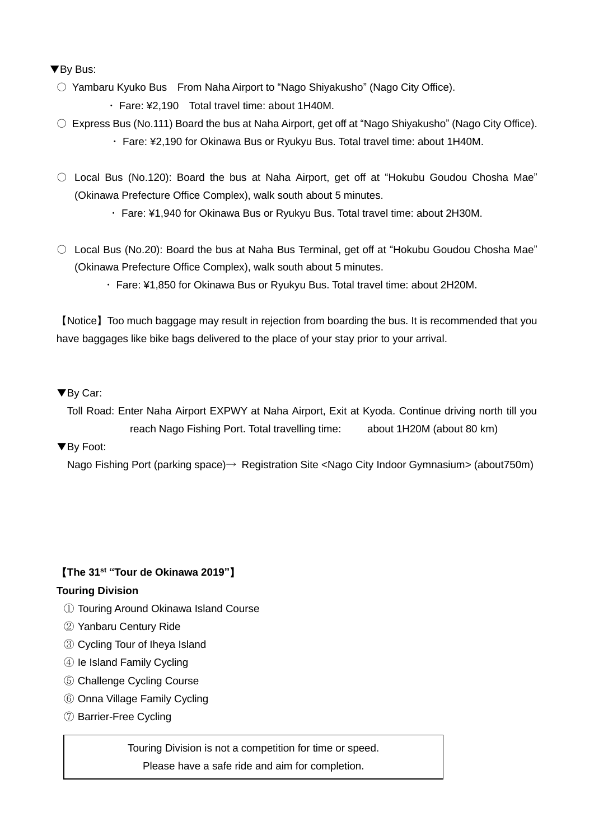▼By Bus:

- Yambaru Kyuko Bus From Naha Airport to "Nago Shiyakusho" (Nago City Office).
	- ・ Fare: ¥2,190 Total travel time: about 1H40M.
- Express Bus (No.111) Board the bus at Naha Airport, get off at "Nago Shiyakusho" (Nago City Office). ・ Fare: ¥2,190 for Okinawa Bus or Ryukyu Bus. Total travel time: about 1H40M.
- Local Bus (No.120): Board the bus at Naha Airport, get off at "Hokubu Goudou Chosha Mae" (Okinawa Prefecture Office Complex), walk south about 5 minutes.
	- ・ Fare: ¥1,940 for Okinawa Bus or Ryukyu Bus. Total travel time: about 2H30M.
- Local Bus (No.20): Board the bus at Naha Bus Terminal, get off at "Hokubu Goudou Chosha Mae" (Okinawa Prefecture Office Complex), walk south about 5 minutes.
	- ・ Fare: ¥1,850 for Okinawa Bus or Ryukyu Bus. Total travel time: about 2H20M.

【Notice】Too much baggage may result in rejection from boarding the bus. It is recommended that you have baggages like bike bags delivered to the place of your stay prior to your arrival.

# ▼By Car:

Toll Road: Enter Naha Airport EXPWY at Naha Airport, Exit at Kyoda. Continue driving north till you reach Nago Fishing Port. Total travelling time: about 1H20M (about 80 km)

# ▼By Foot:

Nago Fishing Port (parking space)→ Registration Site <Nago City Indoor Gymnasium> (about750m)

# 【**The 31 st "Tour de Okinawa 2019"**】

# **Touring Division**

- ① Touring Around Okinawa Island Course
- ② Yanbaru Century Ride
- ③ Cycling Tour of Iheya Island
- ④ Ie Island Family Cycling
- ⑤ Challenge Cycling Course
- ⑥ Onna Village Family Cycling
- ⑦ Barrier-Free Cycling

Touring Division is not a competition for time or speed.

Please have a safe ride and aim for completion.